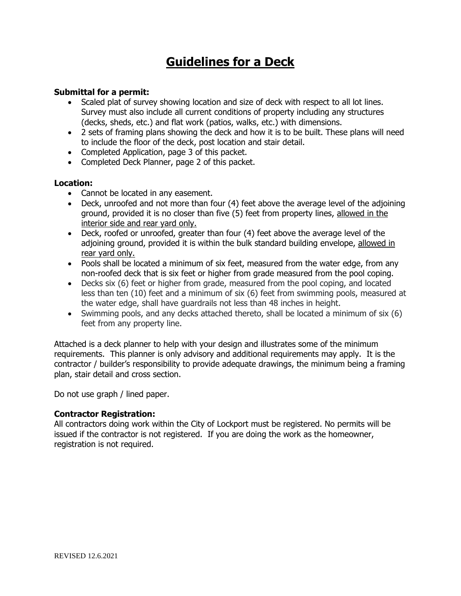# **Guidelines for a Deck**

### **Submittal for a permit:**

- Scaled plat of survey showing location and size of deck with respect to all lot lines. Survey must also include all current conditions of property including any structures (decks, sheds, etc.) and flat work (patios, walks, etc.) with dimensions.
- 2 sets of framing plans showing the deck and how it is to be built. These plans will need to include the floor of the deck, post location and stair detail.
- Completed Application, page 3 of this packet.
- Completed Deck Planner, page 2 of this packet.

#### **Location:**

- Cannot be located in any easement.
- Deck, unroofed and not more than four (4) feet above the average level of the adjoining ground, provided it is no closer than five (5) feet from property lines, allowed in the interior side and rear yard only.
- Deck, roofed or unroofed, greater than four (4) feet above the average level of the adjoining ground, provided it is within the bulk standard building envelope, allowed in rear yard only.
- Pools shall be located a minimum of six feet, measured from the water edge, from any non-roofed deck that is six feet or higher from grade measured from the pool coping.
- Decks six (6) feet or higher from grade, measured from the pool coping, and located less than ten (10) feet and a minimum of six (6) feet from swimming pools, measured at the water edge, shall have guardrails not less than 48 inches in height.
- Swimming pools, and any decks attached thereto, shall be located a minimum of six (6) feet from any property line.

Attached is a deck planner to help with your design and illustrates some of the minimum requirements. This planner is only advisory and additional requirements may apply. It is the contractor / builder's responsibility to provide adequate drawings, the minimum being a framing plan, stair detail and cross section.

Do not use graph / lined paper.

#### **Contractor Registration:**

All contractors doing work within the City of Lockport must be registered. No permits will be issued if the contractor is not registered. If you are doing the work as the homeowner, registration is not required.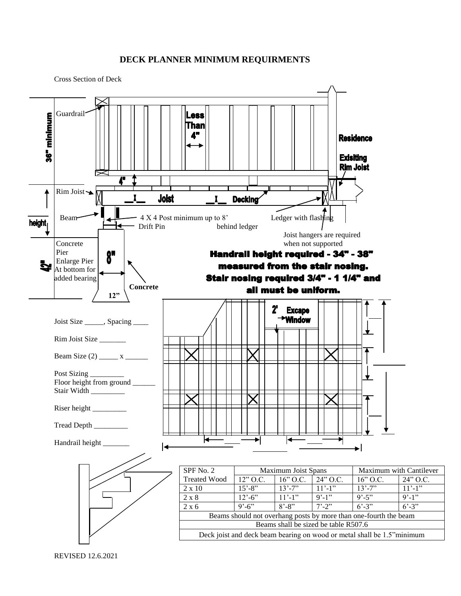#### **DECK PLANNER MINIMUM REQUIRMENTS**

Cross Section of Deck